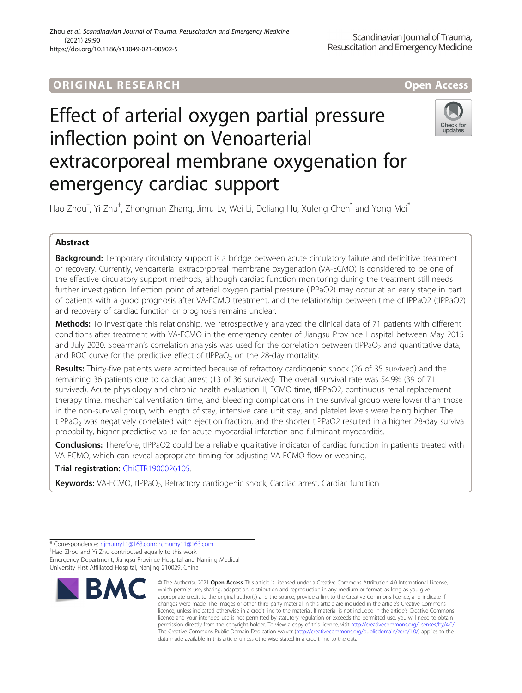# ORIGINA L R E S EA RCH Open Access

# Effect of arterial oxygen partial pressure inflection point on Venoarterial extracorporeal membrane oxygenation for emergency cardiac support



Hao Zhou<sup>†</sup>, Yi Zhu<sup>†</sup>, Zhongman Zhang, Jinru Lv, Wei Li, Deliang Hu, Xufeng Chen<sup>\*</sup> and Yong Mei<sup>\*</sup>

# Abstract

Background: Temporary circulatory support is a bridge between acute circulatory failure and definitive treatment or recovery. Currently, venoarterial extracorporeal membrane oxygenation (VA-ECMO) is considered to be one of the effective circulatory support methods, although cardiac function monitoring during the treatment still needs further investigation. Inflection point of arterial oxygen partial pressure (IPPaO2) may occur at an early stage in part of patients with a good prognosis after VA-ECMO treatment, and the relationship between time of IPPaO2 (tIPPaO2) and recovery of cardiac function or prognosis remains unclear.

Methods: To investigate this relationship, we retrospectively analyzed the clinical data of 71 patients with different conditions after treatment with VA-ECMO in the emergency center of Jiangsu Province Hospital between May 2015 and July 2020. Spearman's correlation analysis was used for the correlation between tIPPaO<sub>2</sub> and quantitative data, and ROC curve for the predictive effect of  $tIPPaO<sub>2</sub>$  on the 28-day mortality.

Results: Thirty-five patients were admitted because of refractory cardiogenic shock (26 of 35 survived) and the remaining 36 patients due to cardiac arrest (13 of 36 survived). The overall survival rate was 54.9% (39 of 71 survived). Acute physiology and chronic health evaluation II, ECMO time, tIPPaO2, continuous renal replacement therapy time, mechanical ventilation time, and bleeding complications in the survival group were lower than those in the non-survival group, with length of stay, intensive care unit stay, and platelet levels were being higher. The tIPPaO<sub>2</sub> was negatively correlated with ejection fraction, and the shorter tIPPaO2 resulted in a higher 28-day survival probability, higher predictive value for acute myocardial infarction and fulminant myocarditis.

**Conclusions:** Therefore, tIPPaO2 could be a reliable qualitative indicator of cardiac function in patients treated with VA-ECMO, which can reveal appropriate timing for adjusting VA-ECMO flow or weaning.

Trial registration: [ChiCTR1900026105.](http://www.chictr.org.cn/listbycreater.aspx)

Keywords: VA-ECMO, tlPPaO<sub>2</sub>, Refractory cardiogenic shock, Cardiac arrest, Cardiac function

<sup>+</sup>Hao Zhou and Yi Zhu contributed equally to this work. Emergency Department, Jiangsu Province Hospital and Nanjing Medical University First Affiliated Hospital, Nanjing 210029, China



<sup>©</sup> The Author(s), 2021 **Open Access** This article is licensed under a Creative Commons Attribution 4.0 International License, which permits use, sharing, adaptation, distribution and reproduction in any medium or format, as long as you give appropriate credit to the original author(s) and the source, provide a link to the Creative Commons licence, and indicate if changes were made. The images or other third party material in this article are included in the article's Creative Commons licence, unless indicated otherwise in a credit line to the material. If material is not included in the article's Creative Commons licence and your intended use is not permitted by statutory regulation or exceeds the permitted use, you will need to obtain permission directly from the copyright holder. To view a copy of this licence, visit [http://creativecommons.org/licenses/by/4.0/.](http://creativecommons.org/licenses/by/4.0/) The Creative Commons Public Domain Dedication waiver [\(http://creativecommons.org/publicdomain/zero/1.0/](http://creativecommons.org/publicdomain/zero/1.0/)) applies to the data made available in this article, unless otherwise stated in a credit line to the data.

<sup>\*</sup> Correspondence: [njmumy11@163.com](mailto:njmumy11@163.com); [njmumy11@163.com](mailto:njmumy11@163.com) †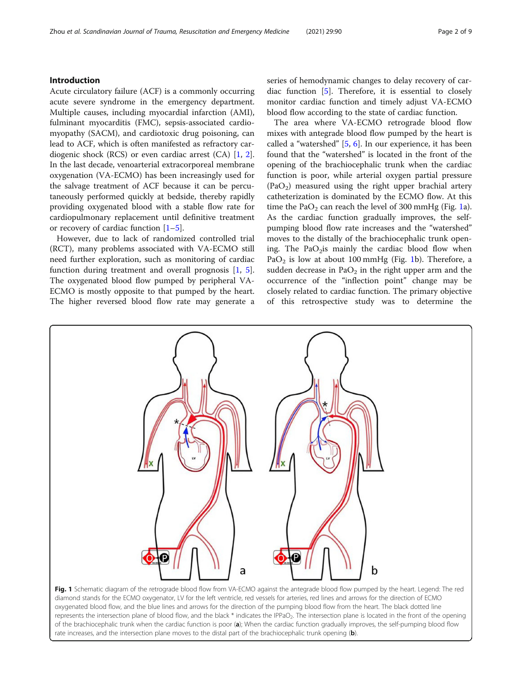# <span id="page-1-0"></span>Introduction

Acute circulatory failure (ACF) is a commonly occurring acute severe syndrome in the emergency department. Multiple causes, including myocardial infarction (AMI), fulminant myocarditis (FMC), sepsis-associated cardiomyopathy (SACM), and cardiotoxic drug poisoning, can lead to ACF, which is often manifested as refractory cardiogenic shock (RCS) or even cardiac arrest (CA) [[1,](#page-7-0) [2](#page-7-0)]. In the last decade, venoarterial extracorporeal membrane oxygenation (VA-ECMO) has been increasingly used for the salvage treatment of ACF because it can be percutaneously performed quickly at bedside, thereby rapidly providing oxygenated blood with a stable flow rate for cardiopulmonary replacement until definitive treatment or recovery of cardiac function  $[1–5]$  $[1–5]$  $[1–5]$ .

However, due to lack of randomized controlled trial (RCT), many problems associated with VA-ECMO still need further exploration, such as monitoring of cardiac function during treatment and overall prognosis [[1,](#page-7-0) [5](#page-7-0)]. The oxygenated blood flow pumped by peripheral VA-ECMO is mostly opposite to that pumped by the heart. The higher reversed blood flow rate may generate a series of hemodynamic changes to delay recovery of cardiac function [[5\]](#page-7-0). Therefore, it is essential to closely monitor cardiac function and timely adjust VA-ECMO blood flow according to the state of cardiac function.

The area where VA-ECMO retrograde blood flow mixes with antegrade blood flow pumped by the heart is called a "watershed"  $[5, 6]$  $[5, 6]$  $[5, 6]$  $[5, 6]$ . In our experience, it has been found that the "watershed" is located in the front of the opening of the brachiocephalic trunk when the cardiac function is poor, while arterial oxygen partial pressure  $(PaO<sub>2</sub>)$  measured using the right upper brachial artery catheterization is dominated by the ECMO flow. At this time the  $PaO<sub>2</sub>$  can reach the level of 300 mmHg (Fig. 1a). As the cardiac function gradually improves, the selfpumping blood flow rate increases and the "watershed" moves to the distally of the brachiocephalic trunk opening. The Pa $O<sub>2</sub>$ is mainly the cardiac blood flow when PaO<sub>2</sub> is low at about 100 mmHg (Fig. 1b). Therefore, a sudden decrease in  $PaO<sub>2</sub>$  in the right upper arm and the occurrence of the "inflection point" change may be closely related to cardiac function. The primary objective of this retrospective study was to determine the



Fig. 1 Schematic diagram of the retrograde blood flow from VA-ECMO against the antegrade blood flow pumped by the heart. Legend: The red diamond stands for the ECMO oxygenator, LV for the left ventricle, red vessels for arteries, red lines and arrows for the direction of ECMO oxygenated blood flow, and the blue lines and arrows for the direction of the pumping blood flow from the heart. The black dotted line represents the intersection plane of blood flow, and the black \* indicates the IPPaO<sub>2</sub>. The intersection plane is located in the front of the opening of the brachiocephalic trunk when the cardiac function is poor (a); When the cardiac function gradually improves, the self-pumping blood flow rate increases, and the intersection plane moves to the distal part of the brachiocephalic trunk opening (b).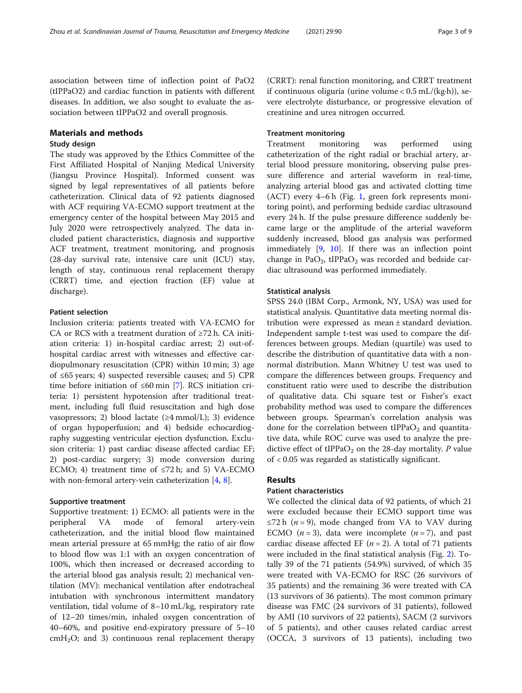association between time of inflection point of PaO2 (tIPPaO2) and cardiac function in patients with different diseases. In addition, we also sought to evaluate the association between tIPPaO2 and overall prognosis.

#### Materials and methods

### Study design

The study was approved by the Ethics Committee of the First Affiliated Hospital of Nanjing Medical University (Jiangsu Province Hospital). Informed consent was signed by legal representatives of all patients before catheterization. Clinical data of 92 patients diagnosed with ACF requiring VA-ECMO support treatment at the emergency center of the hospital between May 2015 and July 2020 were retrospectively analyzed. The data included patient characteristics, diagnosis and supportive ACF treatment, treatment monitoring, and prognosis (28-day survival rate, intensive care unit (ICU) stay, length of stay, continuous renal replacement therapy (CRRT) time, and ejection fraction (EF) value at discharge).

#### Patient selection

Inclusion criteria: patients treated with VA-ECMO for CA or RCS with a treatment duration of  $\geq 72$  h. CA initiation criteria: 1) in-hospital cardiac arrest; 2) out-ofhospital cardiac arrest with witnesses and effective cardiopulmonary resuscitation (CPR) within 10 min; 3) age of ≤65 years; 4) suspected reversible causes; and 5) CPR time before initiation of ≤60 min [\[7](#page-7-0)]. RCS initiation criteria: 1) persistent hypotension after traditional treatment, including full fluid resuscitation and high dose vasopressors; 2) blood lactate  $(\geq 4 \text{ mmol/L})$ ; 3) evidence of organ hypoperfusion; and 4) bedside echocardiography suggesting ventricular ejection dysfunction. Exclusion criteria: 1) past cardiac disease affected cardiac EF; 2) post-cardiac surgery; 3) mode conversion during ECMO; 4) treatment time of  $\leq$ 72 h; and 5) VA-ECMO with non-femoral artery-vein catheterization [[4,](#page-7-0) [8\]](#page-7-0).

#### Supportive treatment

Supportive treatment: 1) ECMO: all patients were in the peripheral VA mode of femoral artery-vein catheterization, and the initial blood flow maintained mean arterial pressure at 65 mmHg; the ratio of air flow to blood flow was 1:1 with an oxygen concentration of 100%, which then increased or decreased according to the arterial blood gas analysis result; 2) mechanical ventilation (MV): mechanical ventilation after endotracheal intubation with synchronous intermittent mandatory ventilation, tidal volume of 8–10 mL/kg, respiratory rate of 12–20 times/min, inhaled oxygen concentration of 40–60%, and positive end-expiratory pressure of 5–10  $cmH<sub>2</sub>O$ ; and 3) continuous renal replacement therapy

(CRRT): renal function monitoring, and CRRT treatment if continuous oliguria (urine volume  $< 0.5$  mL/(kg·h)), severe electrolyte disturbance, or progressive elevation of creatinine and urea nitrogen occurred.

#### Treatment monitoring

Treatment monitoring was performed using catheterization of the right radial or brachial artery, arterial blood pressure monitoring, observing pulse pressure difference and arterial waveform in real-time, analyzing arterial blood gas and activated clotting time (ACT) every 4–6 h (Fig. [1](#page-1-0), green fork represents monitoring point), and performing bedside cardiac ultrasound every 24 h. If the pulse pressure difference suddenly became large or the amplitude of the arterial waveform suddenly increased, blood gas analysis was performed immediately [[9,](#page-7-0) [10](#page-7-0)]. If there was an inflection point change in PaO<sub>2</sub>, tIPPaO<sub>2</sub> was recorded and bedside cardiac ultrasound was performed immediately.

#### Statistical analysis

SPSS 24.0 (IBM Corp., Armonk, NY, USA) was used for statistical analysis. Quantitative data meeting normal distribution were expressed as mean ± standard deviation. Independent sample t-test was used to compare the differences between groups. Median (quartile) was used to describe the distribution of quantitative data with a nonnormal distribution. Mann Whitney U test was used to compare the differences between groups. Frequency and constituent ratio were used to describe the distribution of qualitative data. Chi square test or Fisher's exact probability method was used to compare the differences between groups. Spearman's correlation analysis was done for the correlation between tIPPa $O<sub>2</sub>$  and quantitative data, while ROC curve was used to analyze the predictive effect of tIPPa $O_2$  on the 28-day mortality. P value of < 0.05 was regarded as statistically significant.

#### Results

#### Patient characteristics

We collected the clinical data of 92 patients, of which 21 were excluded because their ECMO support time was ≤72 h ( $n = 9$ ), mode changed from VA to VAV during ECMO  $(n=3)$ , data were incomplete  $(n=7)$ , and past cardiac disease affected EF  $(n = 2)$ . A total of 71 patients were included in the final statistical analysis (Fig. [2\)](#page-3-0). Totally 39 of the 71 patients (54.9%) survived, of which 35 were treated with VA-ECMO for RSC (26 survivors of 35 patients) and the remaining 36 were treated with CA (13 survivors of 36 patients). The most common primary disease was FMC (24 survivors of 31 patients), followed by AMI (10 survivors of 22 patients), SACM (2 survivors of 5 patients), and other causes related cardiac arrest (OCCA, 3 survivors of 13 patients), including two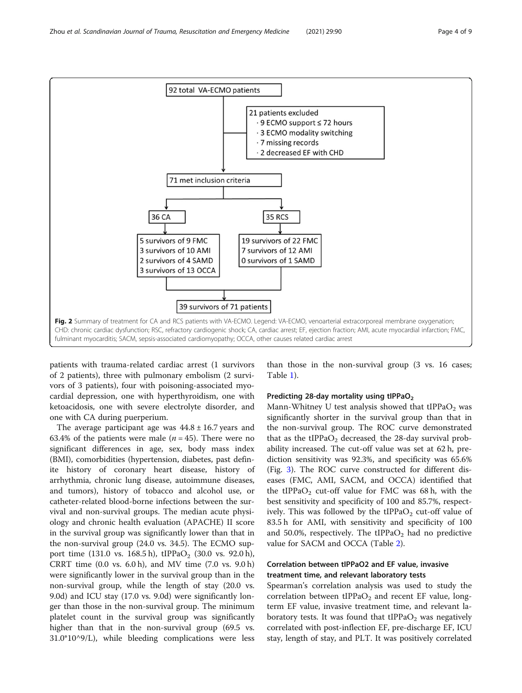<span id="page-3-0"></span>

patients with trauma-related cardiac arrest (1 survivors of 2 patients), three with pulmonary embolism (2 survivors of 3 patients), four with poisoning-associated myocardial depression, one with hyperthyroidism, one with ketoacidosis, one with severe electrolyte disorder, and one with CA during puerperium.

The average participant age was  $44.8 \pm 16.7$  years and 63.4% of the patients were male ( $n = 45$ ). There were no significant differences in age, sex, body mass index (BMI), comorbidities (hypertension, diabetes, past definite history of coronary heart disease, history of arrhythmia, chronic lung disease, autoimmune diseases, and tumors), history of tobacco and alcohol use, or catheter-related blood-borne infections between the survival and non-survival groups. The median acute physiology and chronic health evaluation (APACHE) II score in the survival group was significantly lower than that in the non-survival group (24.0 vs. 34.5). The ECMO support time (131.0 vs. 168.5 h), tIPPaO<sub>2</sub> (30.0 vs. 92.0 h), CRRT time (0.0 vs. 6.0 h), and MV time (7.0 vs. 9.0 h) were significantly lower in the survival group than in the non-survival group, while the length of stay (20.0 vs. 9.0d) and ICU stay (17.0 vs. 9.0d) were significantly longer than those in the non-survival group. The minimum platelet count in the survival group was significantly higher than that in the non-survival group (69.5 vs. 31.0\*10^9/L), while bleeding complications were less than those in the non-survival group (3 vs. 16 cases; Table [1\)](#page-4-0).

#### Predicting 28-day mortality using tIPPaO<sub>2</sub>

Mann-Whitney U test analysis showed that  $tIPPaO<sub>2</sub>$  was significantly shorter in the survival group than that in the non-survival group. The ROC curve demonstrated that as the  $tIPPaO<sub>2</sub>$  decreased, the 28-day survival probability increased. The cut-off value was set at 62 h, prediction sensitivity was 92.3%, and specificity was 65.6% (Fig. [3](#page-5-0)). The ROC curve constructed for different diseases (FMC, AMI, SACM, and OCCA) identified that the tIPPa $O_2$  cut-off value for FMC was 68 h, with the best sensitivity and specificity of 100 and 85.7%, respectively. This was followed by the tIPPa $O<sub>2</sub>$  cut-off value of 83.5 h for AMI, with sensitivity and specificity of 100 and 50.0%, respectively. The tIPPa $O_2$  had no predictive value for SACM and OCCA (Table [2\)](#page-5-0).

# Correlation between tIPPaO2 and EF value, invasive treatment time, and relevant laboratory tests

Spearman's correlation analysis was used to study the correlation between  $tIPPaO<sub>2</sub>$  and recent EF value, longterm EF value, invasive treatment time, and relevant laboratory tests. It was found that  $tIPPaO<sub>2</sub>$  was negatively correlated with post-inflection EF, pre-discharge EF, ICU stay, length of stay, and PLT. It was positively correlated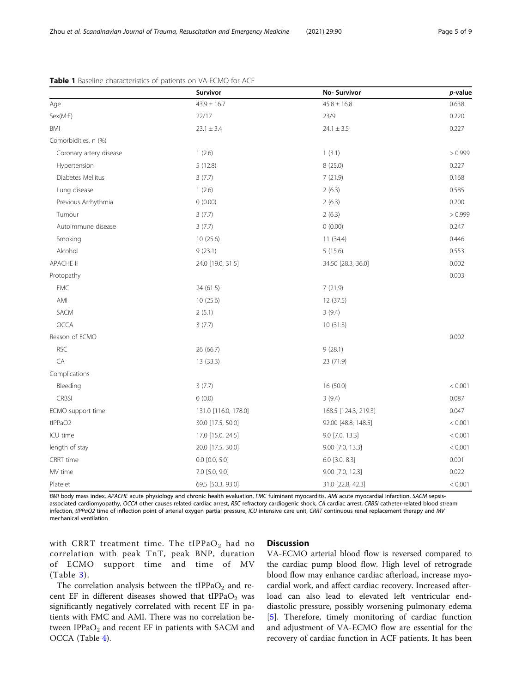|                         | Survivor             | No-Survivor          | p-value |
|-------------------------|----------------------|----------------------|---------|
| Age                     | $43.9 \pm 16.7$      | $45.8 \pm 16.8$      | 0.638   |
| Sex(M:F)                | 22/17                | 23/9                 | 0.220   |
| BMI                     | $23.1 \pm 3.4$       | $24.1 \pm 3.5$       | 0.227   |
| Comorbidities, n (%)    |                      |                      |         |
| Coronary artery disease | 1(2.6)               | 1(3.1)               | > 0.999 |
| Hypertension            | 5(12.8)              | 8 (25.0)             | 0.227   |
| Diabetes Mellitus       | 3(7.7)               | 7(21.9)              | 0.168   |
| Lung disease            | 1(2.6)               | 2(6.3)               | 0.585   |
| Previous Arrhythmia     | 0(0.00)              | 2(6.3)               | 0.200   |
| Tumour                  | 3(7.7)               | 2(6.3)               | > 0.999 |
| Autoimmune disease      | 3(7.7)               | 0(0.00)              | 0.247   |
| Smoking                 | 10 (25.6)            | 11(34.4)             | 0.446   |
| Alcohol                 | 9(23.1)              | 5(15.6)              | 0.553   |
| <b>APACHE II</b>        | 24.0 [19.0, 31.5]    | 34.50 [28.3, 36.0]   | 0.002   |
| Protopathy              |                      |                      | 0.003   |
| <b>FMC</b>              | 24 (61.5)            | 7(21.9)              |         |
| AMI                     | 10(25.6)             | 12 (37.5)            |         |
| SACM                    | 2(5.1)               | 3(9.4)               |         |
| <b>OCCA</b>             | 3(7.7)               | 10(31.3)             |         |
| Reason of ECMO          |                      |                      | 0.002   |
| <b>RSC</b>              | 26 (66.7)            | 9(28.1)              |         |
| CA                      | 13 (33.3)            | 23 (71.9)            |         |
| Complications           |                      |                      |         |
| Bleeding                | 3(7.7)               | 16 (50.0)            | < 0.001 |
| <b>CRBSI</b>            | 0(0.0)               | 3(9.4)               | 0.087   |
| ECMO support time       | 131.0 [116.0, 178.0] | 168.5 [124.3, 219.3] | 0.047   |
| tlPPaO2                 | 30.0 [17.5, 50.0]    | 92.00 [48.8, 148.5]  | < 0.001 |
| ICU time                | 17.0 [15.0, 24.5]    | 9.0 [7.0, 13.3]      | < 0.001 |
| length of stay          | 20.0 [17.5, 30.0]    | 9.00 [7.0, 13.3]     | < 0.001 |
| CRRT time               | $0.0$ $[0.0, 5.0]$   | 6.0 [3.0, 8.3]       | 0.001   |
| MV time                 | 7.0 [5.0, 9.0]       | 9.00 [7.0, 12.3]     | 0.022   |
| Platelet                | 69.5 [50.3, 93.0]    | 31.0 [22.8, 42.3]    | < 0.001 |

#### <span id="page-4-0"></span>Table 1 Baseline characteristics of patients on VA-ECMO for ACF

BMI body mass index, APACHE acute physiology and chronic health evaluation, FMC fulminant myocarditis, AMI acute myocardial infarction, SACM sepsisassociated cardiomyopathy, OCCA other causes related cardiac arrest, RSC refractory cardiogenic shock, CA cardiac arrest, CRBSI catheter-related blood stream infection, tIPPaO2 time of inflection point of arterial oxygen partial pressure, ICU intensive care unit, CRRT continuous renal replacement therapy and MV mechanical ventilation

with CRRT treatment time. The tIPPa $O_2$  had no correlation with peak TnT, peak BNP, duration of ECMO support time and time of MV (Table [3\)](#page-6-0).

# **Discussion**

The correlation analysis between the  $LIPPaO<sub>2</sub>$  and recent EF in different diseases showed that  $tIPPaO<sub>2</sub>$  was significantly negatively correlated with recent EF in patients with FMC and AMI. There was no correlation between  $IPPaO<sub>2</sub>$  and recent EF in patients with SACM and OCCA (Table [4\)](#page-6-0).

VA-ECMO arterial blood flow is reversed compared to the cardiac pump blood flow. High level of retrograde blood flow may enhance cardiac afterload, increase myocardial work, and affect cardiac recovery. Increased afterload can also lead to elevated left ventricular enddiastolic pressure, possibly worsening pulmonary edema [[5\]](#page-7-0). Therefore, timely monitoring of cardiac function and adjustment of VA-ECMO flow are essential for the recovery of cardiac function in ACF patients. It has been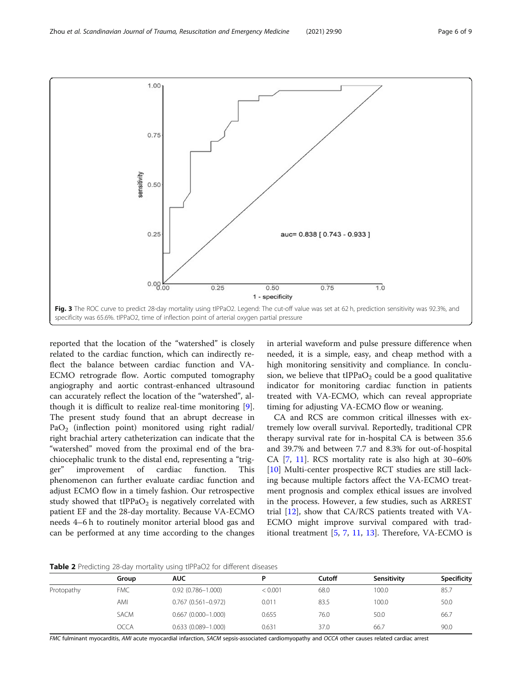<span id="page-5-0"></span>

reported that the location of the "watershed" is closely related to the cardiac function, which can indirectly reflect the balance between cardiac function and VA-ECMO retrograde flow. Aortic computed tomography angiography and aortic contrast-enhanced ultrasound can accurately reflect the location of the "watershed", although it is difficult to realize real-time monitoring [\[9](#page-7-0)]. The present study found that an abrupt decrease in PaO<sub>2</sub> (inflection point) monitored using right radial/ right brachial artery catheterization can indicate that the "watershed" moved from the proximal end of the brachiocephalic trunk to the distal end, representing a "trigger" improvement of cardiac function. This phenomenon can further evaluate cardiac function and adjust ECMO flow in a timely fashion. Our retrospective study showed that  $tIPPaO<sub>2</sub>$  is negatively correlated with patient EF and the 28-day mortality. Because VA-ECMO needs 4–6 h to routinely monitor arterial blood gas and can be performed at any time according to the changes

in arterial waveform and pulse pressure difference when needed, it is a simple, easy, and cheap method with a high monitoring sensitivity and compliance. In conclusion, we believe that  $tIPPaO<sub>2</sub>$  could be a good qualitative indicator for monitoring cardiac function in patients treated with VA-ECMO, which can reveal appropriate timing for adjusting VA-ECMO flow or weaning.

CA and RCS are common critical illnesses with extremely low overall survival. Reportedly, traditional CPR therapy survival rate for in-hospital CA is between 35.6 and 39.7% and between 7.7 and 8.3% for out-of-hospital CA  $[7, 11]$  $[7, 11]$  $[7, 11]$  $[7, 11]$  $[7, 11]$ . RCS mortality rate is also high at 30–60% [[10\]](#page-7-0) Multi-center prospective RCT studies are still lacking because multiple factors affect the VA-ECMO treatment prognosis and complex ethical issues are involved in the process. However, a few studies, such as ARREST trial [\[12](#page-7-0)], show that CA/RCS patients treated with VA-ECMO might improve survival compared with traditional treatment [[5,](#page-7-0) [7](#page-7-0), [11,](#page-7-0) [13](#page-7-0)]. Therefore, VA-ECMO is

Table 2 Predicting 28-day mortality using tIPPaO2 for different diseases

|            | Group       | <b>AUC</b>             |         | Cutoff | Sensitivity | Specificity |  |  |
|------------|-------------|------------------------|---------|--------|-------------|-------------|--|--|
| Protopathy | <b>FMC</b>  | $0.92(0.786 - 1.000)$  | < 0.001 | 68.0   | 100.0       | 85.7        |  |  |
|            | AMI         | $0.767(0.561 - 0.972)$ | 0.011   | 83.5   | 100.0       | 50.0        |  |  |
|            | <b>SACM</b> | $0.667(0.000 - 1.000)$ | 0.655   | 76.0   | 50.0        | 66.7        |  |  |
|            | <b>OCCA</b> | $0.633(0.089 - 1.000)$ | 0.631   | 37.0   | 66.7        | 90.0        |  |  |
|            |             |                        |         |        |             |             |  |  |

FMC fulminant myocarditis, AMI acute myocardial infarction, SACM sepsis-associated cardiomyopathy and OCCA other causes related cardiac arrest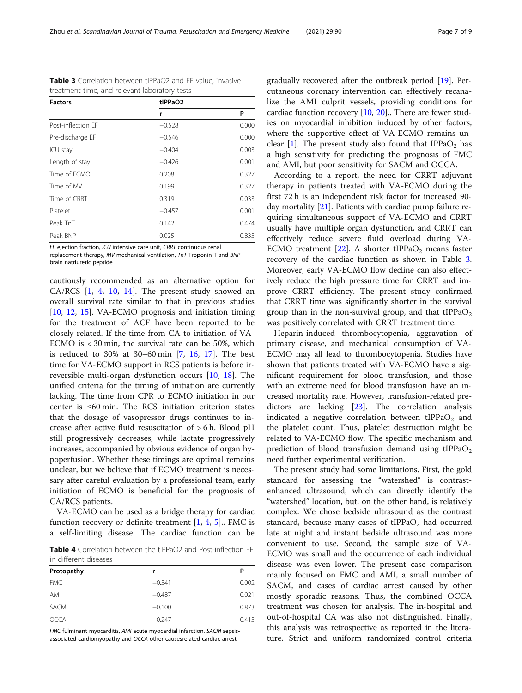EF ejection fraction, ICU intensive care unit, CRRT continuous renal replacement therapy, MV mechanical ventilation, TnT Troponin T and BNP brain natriuretic peptide

cautiously recommended as an alternative option for CA/RCS  $[1, 4, 10, 14]$  $[1, 4, 10, 14]$  $[1, 4, 10, 14]$  $[1, 4, 10, 14]$  $[1, 4, 10, 14]$  $[1, 4, 10, 14]$  $[1, 4, 10, 14]$  $[1, 4, 10, 14]$  $[1, 4, 10, 14]$ . The present study showed an overall survival rate similar to that in previous studies [[10,](#page-7-0) [12,](#page-7-0) [15](#page-7-0)]. VA-ECMO prognosis and initiation timing for the treatment of ACF have been reported to be closely related. If the time from CA to initiation of VA-ECMO is < 30 min, the survival rate can be 50%, which is reduced to 30% at 30–60 min [\[7](#page-7-0), [16,](#page-7-0) [17\]](#page-7-0). The best time for VA-ECMO support in RCS patients is before irreversible multi-organ dysfunction occurs [[10,](#page-7-0) [18\]](#page-8-0). The unified criteria for the timing of initiation are currently lacking. The time from CPR to ECMO initiation in our center is ≤60 min. The RCS initiation criterion states that the dosage of vasopressor drugs continues to increase after active fluid resuscitation of > 6 h. Blood pH still progressively decreases, while lactate progressively increases, accompanied by obvious evidence of organ hypoperfusion. Whether these timings are optimal remains unclear, but we believe that if ECMO treatment is necessary after careful evaluation by a professional team, early initiation of ECMO is beneficial for the prognosis of CA/RCS patients.

VA-ECMO can be used as a bridge therapy for cardiac function recovery or definite treatment  $[1, 4, 5]$  $[1, 4, 5]$  $[1, 4, 5]$  $[1, 4, 5]$  $[1, 4, 5]$  $[1, 4, 5]$ . FMC is a self-limiting disease. The cardiac function can be

Table 4 Correlation between the tIPPaO2 and Post-inflection EF in different diseases

| Protopathy  | r        | Ρ     |  |  |
|-------------|----------|-------|--|--|
| <b>FMC</b>  | $-0.541$ | 0.002 |  |  |
| AMI         | $-0.487$ | 0.021 |  |  |
| <b>SACM</b> | $-0.100$ | 0.873 |  |  |
| <b>OCCA</b> | $-0.247$ | 0.415 |  |  |

FMC fulminant myocarditis, AMI acute myocardial infarction, SACM sepsisassociated cardiomyopathy and OCCA other causesrelated cardiac arrest

gradually recovered after the outbreak period [\[19](#page-8-0)]. Percutaneous coronary intervention can effectively recanalize the AMI culprit vessels, providing conditions for cardiac function recovery [[10](#page-7-0), [20](#page-8-0)].. There are fewer studies on myocardial inhibition induced by other factors, where the supportive effect of VA-ECMO remains un-clear [\[1\]](#page-7-0). The present study also found that  $IPPaO<sub>2</sub>$  has a high sensitivity for predicting the prognosis of FMC and AMI, but poor sensitivity for SACM and OCCA.

According to a report, the need for CRRT adjuvant therapy in patients treated with VA-ECMO during the first 72 h is an independent risk factor for increased 90 day mortality [\[21\]](#page-8-0). Patients with cardiac pump failure requiring simultaneous support of VA-ECMO and CRRT usually have multiple organ dysfunction, and CRRT can effectively reduce severe fluid overload during VA-ECMO treatment  $[22]$ . A shorter tIPPaO<sub>2</sub> means faster recovery of the cardiac function as shown in Table 3. Moreover, early VA-ECMO flow decline can also effectively reduce the high pressure time for CRRT and improve CRRT efficiency. The present study confirmed that CRRT time was significantly shorter in the survival group than in the non-survival group, and that  $HPPaO<sub>2</sub>$ was positively correlated with CRRT treatment time.

Heparin-induced thrombocytopenia, aggravation of primary disease, and mechanical consumption of VA-ECMO may all lead to thrombocytopenia. Studies have shown that patients treated with VA-ECMO have a significant requirement for blood transfusion, and those with an extreme need for blood transfusion have an increased mortality rate. However, transfusion-related predictors are lacking [\[23](#page-8-0)]. The correlation analysis indicated a negative correlation between tIPPa $O<sub>2</sub>$  and the platelet count. Thus, platelet destruction might be related to VA-ECMO flow. The specific mechanism and prediction of blood transfusion demand using tIPPa $O<sub>2</sub>$ need further experimental verification.

The present study had some limitations. First, the gold standard for assessing the "watershed" is contrastenhanced ultrasound, which can directly identify the "watershed" location, but, on the other hand, is relatively complex. We chose bedside ultrasound as the contrast standard, because many cases of  $tIPPaO<sub>2</sub>$  had occurred late at night and instant bedside ultrasound was more convenient to use. Second, the sample size of VA-ECMO was small and the occurrence of each individual disease was even lower. The present case comparison mainly focused on FMC and AMI, a small number of SACM, and cases of cardiac arrest caused by other mostly sporadic reasons. Thus, the combined OCCA treatment was chosen for analysis. The in-hospital and out-of-hospital CA was also not distinguished. Finally, this analysis was retrospective as reported in the literature. Strict and uniform randomized control criteria

Table 3 Correlation between tIPPaO2 and EF value, invasive treatment time, and relevant laboratory tests

Post-inflection EF −0.528 0.000 Pre-discharge EF −0.546 0.000 ICU stay −0.404 0.003 Length of stay  $-0.426$  0.001 Time of ECMO 0.208 0.208 0.327 Time of MV 0.199 0.327 Time of CRRT 0.319 0.033 Platelet −0.457 0.001 Peak TnT 0.142 0.474 Peak BNP 0.025 0.835

Factors tIPPaO2

<span id="page-6-0"></span>

| Zhou et al. Scandinavian Journal of Trauma, Resuscitation and Emergency Medicine | (2021) 29:90<br>Page |  | of 9 |
|----------------------------------------------------------------------------------|----------------------|--|------|
|----------------------------------------------------------------------------------|----------------------|--|------|

r P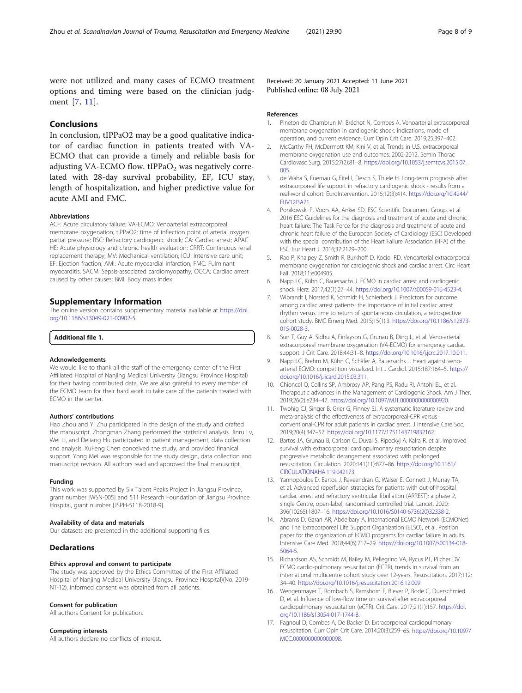<span id="page-7-0"></span>were not utilized and many cases of ECMO treatment options and timing were based on the clinician judgment [7, 11].

Received: 20 January 2021 Accepted: 11 June 2021 Published online: 08 July 2021

# Conclusions

In conclusion, tIPPaO2 may be a good qualitative indicator of cardiac function in patients treated with VA-ECMO that can provide a timely and reliable basis for adjusting VA-ECMO flow.  $tIPPaO<sub>2</sub>$  was negatively correlated with 28-day survival probability, EF, ICU stay, length of hospitalization, and higher predictive value for acute AMI and FMC.

#### Abbreviations

ACF: Acute circulatory failure; VA-ECMO: Venoarterial extracorporeal membrane oxygenation; tIPPaO2: time of inflection point of arterial oxygen partial pressure; RSC: Refractory cardiogenic shock; CA: Cardiac arrest; APAC HE: Acute physiology and chronic health evaluation; CRRT: Continuous renal replacement therapy; MV: Mechanical ventilation; ICU: Intensive care unit; EF: Ejection fraction; AMI: Acute myocardial infarction; FMC: Fulminant myocarditis; SACM: Sepsis-associated cardiomyopathy; OCCA: Cardiac arrest caused by other causes; BMI: Body mass index

#### Supplementary Information

The online version contains supplementary material available at [https://doi.](https://doi.org/10.1186/s13049-021-00902-5) [org/10.1186/s13049-021-00902-5.](https://doi.org/10.1186/s13049-021-00902-5)

#### Additional file 1.

#### Acknowledgements

We would like to thank all the staff of the emergency center of the First Affiliated Hospital of Nanjing Medical University (Jiangsu Province Hospital) for their having contributed data. We are also grateful to every member of the ECMO team for their hard work to take care of the patients treated with ECMO in the center.

#### Authors' contributions

Hao Zhou and Yi Zhu participated in the design of the study and drafted the manuscript. Zhongman Zhang performed the statistical analysis. Jinru Lv, Wei Li, and Deliang Hu participated in patient management, data collection and analysis. XuFeng Chen conceived the study, and provided finanical support. Yong Mei was responsible for the study design, data collection and manuscript revision. All authors read and approved the final manuscript.

#### Funding

This work was supported by Six Talent Peaks Project in Jiangsu Province, grant number [WSN-005] and 511 Research Foundation of Jiangsu Province Hospital, grant number [JSPH-511B-2018-9].

#### Availability of data and materials

Our datasets are presented in the additional supporting files.

#### **Declarations**

# Ethics approval and consent to participate

The study was approved by the Ethics Committee of the First Affiliated Hospital of Nanjing Medical University (Jiangsu Province Hospital)(No. 2019- NT-12). Informed consent was obtained from all patients.

#### Consent for publication

All authors Consent for publication.

#### Competing interests

All authors declare no conflicts of interest.

#### References

- 1. Pineton de Chambrun M, Bréchot N, Combes A. Venoarterial extracorporeal membrane oxygenation in cardiogenic shock: indications, mode of operation, and current evidence. Curr Opin Crit Care. 2019;25:397–402.
- 2. McCarthy FH, McDermott KM, Kini V, et al. Trends in U.S. extracorporeal membrane oxygenation use and outcomes: 2002-2012. Semin Thorac Cardiovasc Surg. 2015;27(2):81–8. [https://doi.org/10.1053/j.semtcvs.2015.07.](https://doi.org/10.1053/j.semtcvs.2015.07.005) [005.](https://doi.org/10.1053/j.semtcvs.2015.07.005)
- 3. de Waha S, Fuernau G, Eitel I, Desch S, Thiele H. Long-term prognosis after extracorporeal life support in refractory cardiogenic shock - results from a real-world cohort. EuroIntervention. 2016;12(3):414. [https://doi.org/10.4244/](https://doi.org/10.4244/EIJV12I3A71) **[EIJV12I3A71](https://doi.org/10.4244/EIJV12I3A71)**
- 4. Ponikowski P, Voors AA, Anker SD, ESC Scientific Document Group, et al. 2016 ESC Guidelines for the diagnosis and treatment of acute and chronic heart failure: The Task Force for the diagnosis and treatment of acute and chronic heart failure of the European Society of Cardiology (ESC) Developed with the special contribution of the Heart Failure Association (HFA) of the ESC. Eur Heart J. 2016;37:2129–200.
- 5. Rao P, Khalpey Z, Smith R, Burkhoff D, Kociol RD. Venoarterial extracorporeal membrane oxygenation for cardiogenic shock and cardiac arrest. Circ Heart Fail. 2018;11:e004905.
- Napp LC, Kühn C, Bauersachs J. ECMO in cardiac arrest and cardiogenic shock. Herz. 2017;42(1):27–44. <https://doi.org/10.1007/s00059-016-4523-4>.
- 7. Wibrandt I, Norsted K, Schmidt H, Schierbeck J. Predictors for outcome among cardiac arrest patients: the importance of initial cardiac arrest rhythm versus time to return of spontaneous circulation, a retrospective cohort study. BMC Emerg Med. 2015;15(1):3. [https://doi.org/10.1186/s12873-](https://doi.org/10.1186/s12873-015-0028-3) [015-0028-3](https://doi.org/10.1186/s12873-015-0028-3).
- 8. Sun T, Guy A, Sidhu A, Finlayson G, Grunau B, Ding L, et al. Veno-arterial extracorporeal membrane oxygenation (VA-ECMO) for emergency cardiac support. J Crit Care. 2018;44:31–8. <https://doi.org/10.1016/j.jcrc.2017.10.011>.
- 9. Napp LC, Brehm M, Kühn C, Schäfer A, Bauersachs J. Heart against venoarterial ECMO: competition visualized. Int J Cardiol. 2015;187:164–5. [https://](https://doi.org/10.1016/j.ijcard.2015.03.311) [doi.org/10.1016/j.ijcard.2015.03.311](https://doi.org/10.1016/j.ijcard.2015.03.311).
- 10. Chioncel O, Collins SP, Ambrosy AP, Pang PS, Radu RI, Antohi EL, et al. Therapeutic advances in the Management of Cardiogenic Shock. Am J Ther. 2019;26(2):e234–47. <https://doi.org/10.1097/MJT.0000000000000920>.
- 11. Twohig CJ, Singer B, Grier G, Finney SJ. A systematic literature review and meta-analysis of the effectiveness of extracorporeal-CPR versus conventional-CPR for adult patients in cardiac arrest. J Intensive Care Soc. 2019;20(4):347–57. <https://doi.org/10.1177/1751143719832162>.
- 12. Bartos JA, Grunau B, Carlson C, Duval S, Ripeckyj A, Kalra R, et al. Improved survival with extracorporeal cardiopulmonary resuscitation despite progressive metabolic derangement associated with prolonged resuscitation. Circulation. 2020;141(11):877–86. [https://doi.org/10.1161/](https://doi.org/10.1161/CIRCULATIONAHA.119.042173) [CIRCULATIONAHA.119.042173](https://doi.org/10.1161/CIRCULATIONAHA.119.042173).
- 13. Yannopoulos D, Bartos J, Raveendran G, Walser E, Connett J, Murray TA, et al. Advanced reperfusion strategies for patients with out-of-hospital cardiac arrest and refractory ventricular fibrillation (ARREST): a phase 2, single Centre, open-label, randomised controlled trial. Lancet. 2020; 396(10265):1807–16. [https://doi.org/10.1016/S0140-6736\(20\)32338-2](https://doi.org/10.1016/S0140-6736(20)32338-2).
- 14. Abrams D, Garan AR, Abdelbary A, International ECMO Network (ECMONet) and The Extracorporeal Life Support Organization (ELSO), et al. Position paper for the organization of ECMO programs for cardiac failure in adults. Intensive Care Med. 2018;44(6):717–29. [https://doi.org/10.1007/s00134-018-](https://doi.org/10.1007/s00134-018-5064-5) [5064-5.](https://doi.org/10.1007/s00134-018-5064-5)
- 15. Richardson AS, Schmidt M, Bailey M, Pellegrino VA, Rycus PT, Pilcher DV. ECMO cardio-pulmonary resuscitation (ECPR), trends in survival from an international multicentre cohort study over 12-years. Resuscitation. 2017;112: 34–40. [https://doi.org/10.1016/j.resuscitation.2016.12.009.](https://doi.org/10.1016/j.resuscitation.2016.12.009)
- 16. Wengenmayer T, Rombach S, Ramshorn F, Biever P, Bode C, Duerschmied D, et al. Influence of low-flow time on survival after extracorporeal cardiopulmonary resuscitation (eCPR). Crit Care. 2017;21(1):157. [https://doi.](https://doi.org/10.1186/s13054-017-1744-8) [org/10.1186/s13054-017-1744-8](https://doi.org/10.1186/s13054-017-1744-8).
- 17. Fagnoul D, Combes A, De Backer D. Extracorporeal cardiopulmonary resuscitation. Curr Opin Crit Care. 2014;20(3):259–65. [https://doi.org/10.1097/](https://doi.org/10.1097/MCC.0000000000000098) [MCC.0000000000000098](https://doi.org/10.1097/MCC.0000000000000098).